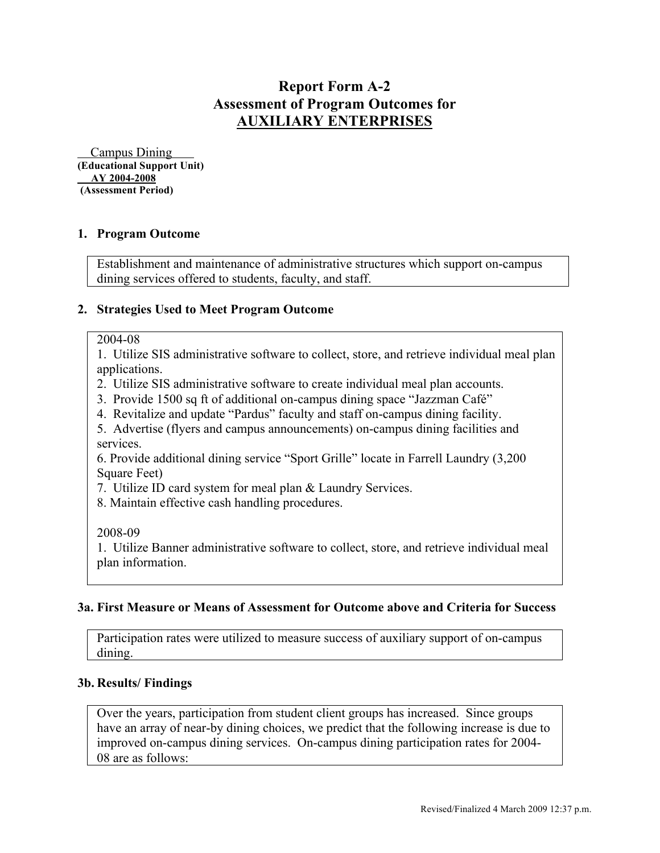# **Report Form A-2 Assessment of Program Outcomes for AUXILIARY ENTERPRISES**

 Campus Dining **(Educational Support Unit) AY 2004-2008 (Assessment Period)**

# **1. Program Outcome**

Establishment and maintenance of administrative structures which support on-campus dining services offered to students, faculty, and staff.

#### **2. Strategies Used to Meet Program Outcome**

#### 2004-08

1. Utilize SIS administrative software to collect, store, and retrieve individual meal plan applications.

- 2. Utilize SIS administrative software to create individual meal plan accounts.
- 3. Provide 1500 sq ft of additional on-campus dining space "Jazzman Café"
- 4. Revitalize and update "Pardus" faculty and staff on-campus dining facility.

5. Advertise (flyers and campus announcements) on-campus dining facilities and services.

6. Provide additional dining service "Sport Grille" locate in Farrell Laundry (3,200 Square Feet)

7. Utilize ID card system for meal plan & Laundry Services.

8. Maintain effective cash handling procedures.

2008-09

1. Utilize Banner administrative software to collect, store, and retrieve individual meal plan information.

#### **3a. First Measure or Means of Assessment for Outcome above and Criteria for Success**

Participation rates were utilized to measure success of auxiliary support of on-campus dining.

#### **3b. Results/ Findings**

Over the years, participation from student client groups has increased. Since groups have an array of near-by dining choices, we predict that the following increase is due to improved on-campus dining services. On-campus dining participation rates for 2004- 08 are as follows: